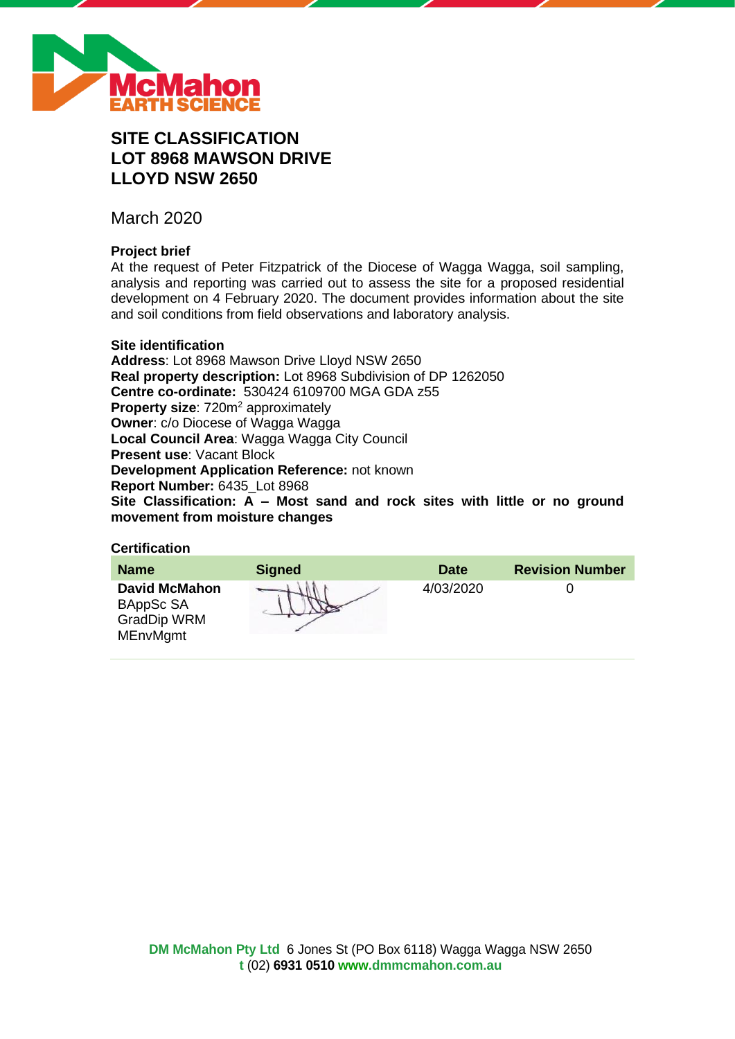

# **SITE CLASSIFICATION LOT 8968 MAWSON DRIVE LLOYD NSW 2650**

March 2020

# **Project brief**

At the request of Peter Fitzpatrick of the Diocese of Wagga Wagga, soil sampling, analysis and reporting was carried out to assess the site for a proposed residential development on 4 February 2020. The document provides information about the site and soil conditions from field observations and laboratory analysis.

# **Site identification**

**Address**: Lot 8968 Mawson Drive Lloyd NSW 2650 **Real property description:** Lot 8968 Subdivision of DP 1262050 **Centre co-ordinate:** 530424 6109700 MGA GDA z55 **Property size:** 720m<sup>2</sup> approximately **Owner**: c/o Diocese of Wagga Wagga **Local Council Area**: Wagga Wagga City Council **Present use**: Vacant Block **Development Application Reference:** not known **Report Number:** 6435\_Lot 8968 **Site Classification: A – Most sand and rock sites with little or no ground movement from moisture changes**

# **Certification**

| <b>Name</b>                                                                | <b>Signed</b> | Date      | <b>Revision Number</b> |
|----------------------------------------------------------------------------|---------------|-----------|------------------------|
| <b>David McMahon</b><br>BAppSc SA<br><b>GradDip WRM</b><br><b>MEnvMgmt</b> |               | 4/03/2020 |                        |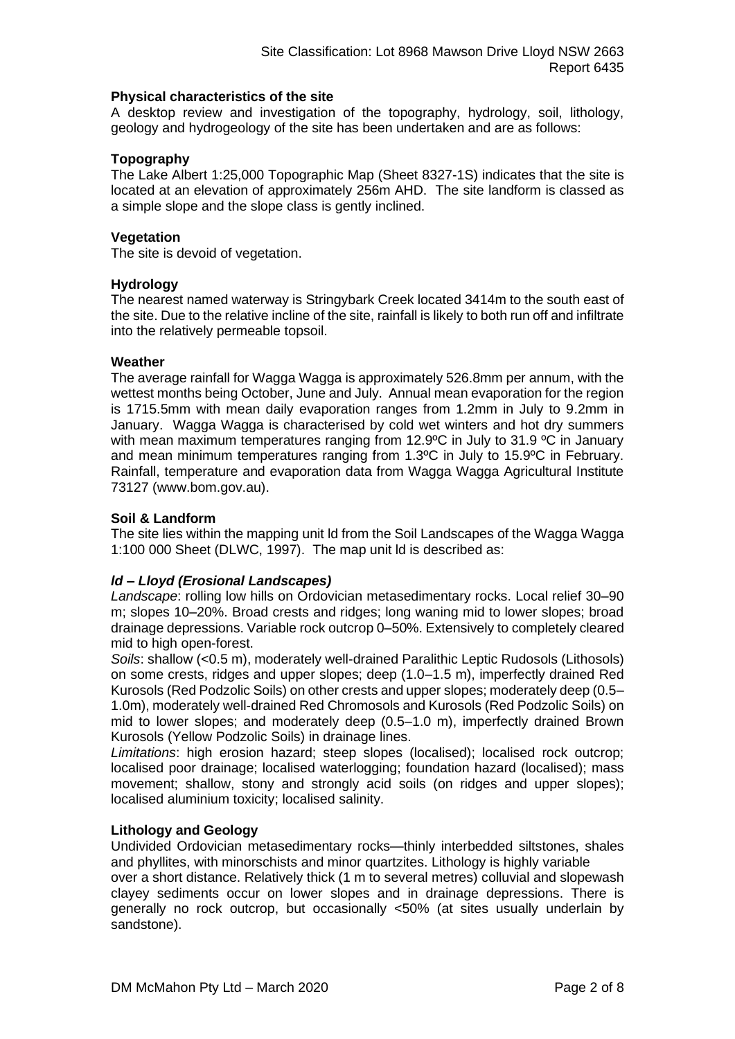#### **Physical characteristics of the site**

A desktop review and investigation of the topography, hydrology, soil, lithology, geology and hydrogeology of the site has been undertaken and are as follows:

# **Topography**

The Lake Albert 1:25,000 Topographic Map (Sheet 8327-1S) indicates that the site is located at an elevation of approximately 256m AHD. The site landform is classed as a simple slope and the slope class is gently inclined.

# **Vegetation**

The site is devoid of vegetation.

# **Hydrology**

The nearest named waterway is Stringybark Creek located 3414m to the south east of the site. Due to the relative incline of the site, rainfall is likely to both run off and infiltrate into the relatively permeable topsoil.

# **Weather**

The average rainfall for Wagga Wagga is approximately 526.8mm per annum, with the wettest months being October, June and July. Annual mean evaporation for the region is 1715.5mm with mean daily evaporation ranges from 1.2mm in July to 9.2mm in January. Wagga Wagga is characterised by cold wet winters and hot dry summers with mean maximum temperatures ranging from 12.9°C in July to 31.9 °C in January and mean minimum temperatures ranging from 1.3ºC in July to 15.9ºC in February. Rainfall, temperature and evaporation data from Wagga Wagga Agricultural Institute 73127 (www.bom.gov.au).

# **Soil & Landform**

The site lies within the mapping unit ld from the Soil Landscapes of the Wagga Wagga 1:100 000 Sheet (DLWC, 1997). The map unit ld is described as:

# *ld – Lloyd (Erosional Landscapes)*

*Landscape*: rolling low hills on Ordovician metasedimentary rocks. Local relief 30–90 m; slopes 10–20%. Broad crests and ridges; long waning mid to lower slopes; broad drainage depressions. Variable rock outcrop 0–50%. Extensively to completely cleared mid to high open-forest.

*Soils*: shallow (<0.5 m), moderately well-drained Paralithic Leptic Rudosols (Lithosols) on some crests, ridges and upper slopes; deep (1.0–1.5 m), imperfectly drained Red Kurosols (Red Podzolic Soils) on other crests and upper slopes; moderately deep (0.5– 1.0m), moderately well-drained Red Chromosols and Kurosols (Red Podzolic Soils) on mid to lower slopes; and moderately deep (0.5–1.0 m), imperfectly drained Brown Kurosols (Yellow Podzolic Soils) in drainage lines.

*Limitations*: high erosion hazard; steep slopes (localised); localised rock outcrop; localised poor drainage; localised waterlogging; foundation hazard (localised); mass movement; shallow, stony and strongly acid soils (on ridges and upper slopes); localised aluminium toxicity; localised salinity.

#### **Lithology and Geology**

Undivided Ordovician metasedimentary rocks—thinly interbedded siltstones, shales and phyllites, with minorschists and minor quartzites. Lithology is highly variable

over a short distance. Relatively thick (1 m to several metres) colluvial and slopewash clayey sediments occur on lower slopes and in drainage depressions. There is generally no rock outcrop, but occasionally <50% (at sites usually underlain by sandstone).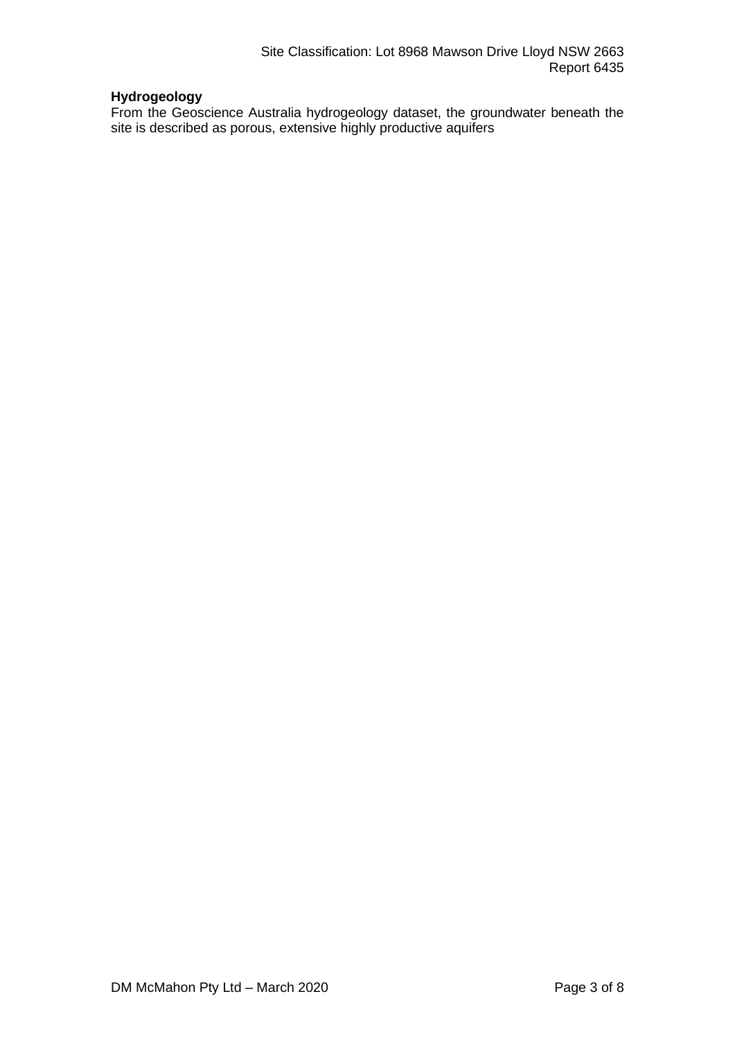# **Hydrogeology**

From the Geoscience Australia hydrogeology dataset, the groundwater beneath the site is described as porous, extensive highly productive aquifers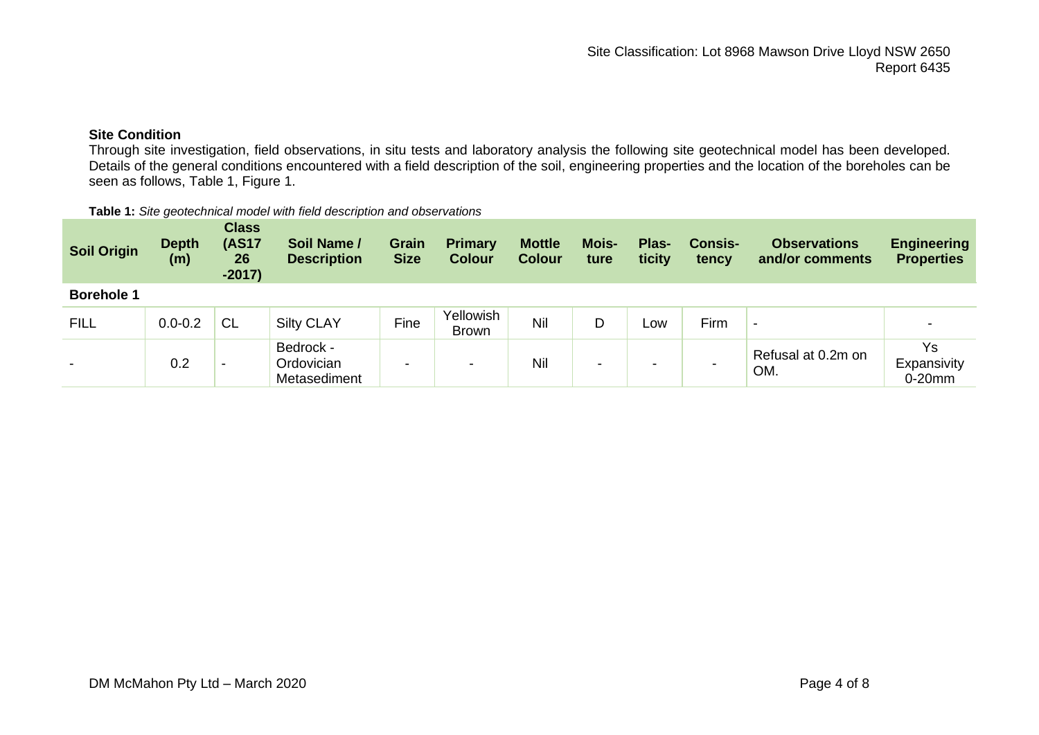# **Site Condition**

Through site investigation, field observations, in situ tests and laboratory analysis the following site geotechnical model has been developed. Details of the general conditions encountered with a field description of the soil, engineering properties and the location of the boreholes can be seen as follows, Table 1, Figure 1.

#### **Table 1:** *Site geotechnical model with field description and observations*

| <b>Soil Origin</b>       | <b>Depth</b><br>(m) | <b>Class</b><br><b>(AS17</b><br>26<br>$-2017$ | Soil Name /<br><b>Description</b>       | Grain<br><b>Size</b> | <b>Primary</b><br><b>Colour</b> | <b>Mottle</b><br><b>Colour</b> | Mois-<br>ture | Plas-<br>ticity          | <b>Consis-</b><br>tency | <b>Observations</b><br>and/or comments | <b>Engineering</b><br><b>Properties</b> |
|--------------------------|---------------------|-----------------------------------------------|-----------------------------------------|----------------------|---------------------------------|--------------------------------|---------------|--------------------------|-------------------------|----------------------------------------|-----------------------------------------|
| <b>Borehole 1</b>        |                     |                                               |                                         |                      |                                 |                                |               |                          |                         |                                        |                                         |
| <b>FILL</b>              | $0.0 - 0.2$         | <b>CL</b>                                     | <b>Silty CLAY</b>                       | Fine                 | Yellowish<br><b>Brown</b>       | Nil                            | D             | ∟ow                      | Firm                    | $\overline{\phantom{0}}$               | $\overline{\phantom{a}}$                |
| $\overline{\phantom{0}}$ | 0.2                 | $\overline{\phantom{0}}$                      | Bedrock -<br>Ordovician<br>Metasediment | -                    | $\sim$                          | Nil                            |               | $\overline{\phantom{a}}$ |                         | Refusal at 0.2m on<br>OM.              | Ys<br>Expansivity<br>$0-20$ mm          |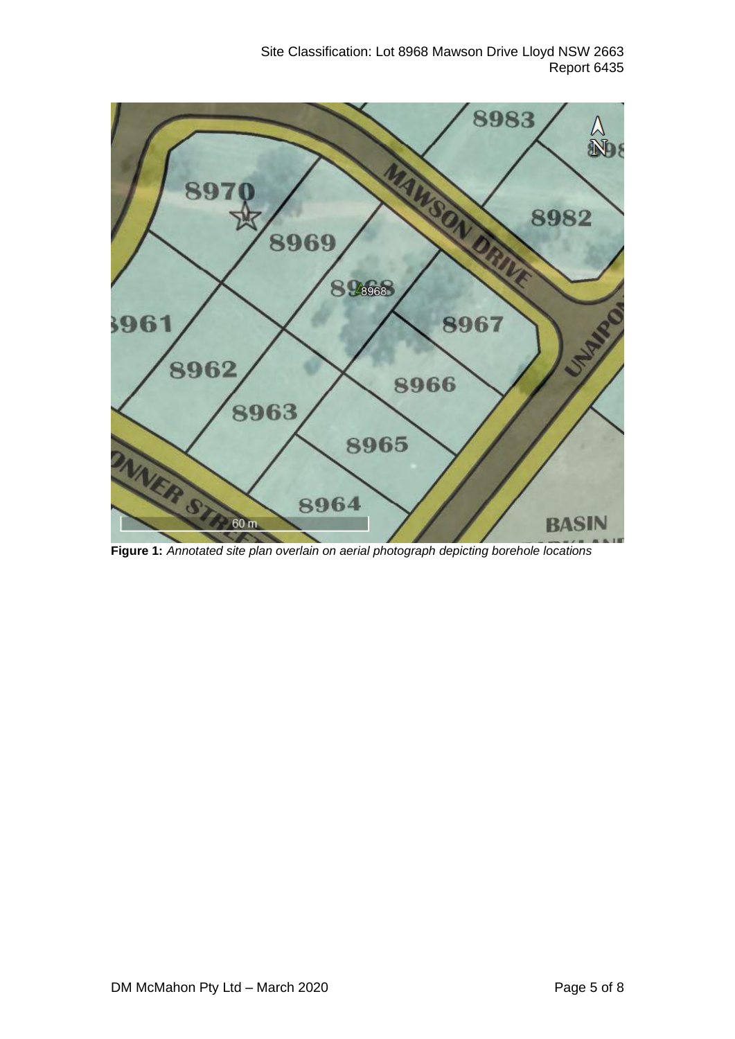

**Figure 1:** *Annotated site plan overlain on aerial photograph depicting borehole locations*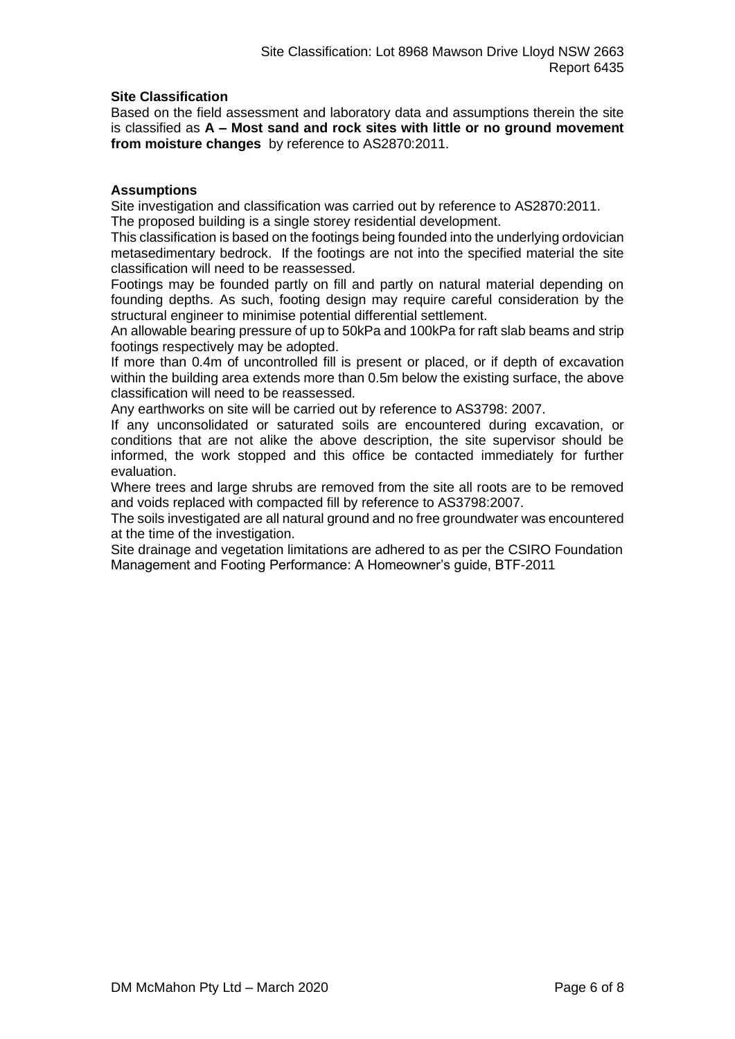# **Site Classification**

Based on the field assessment and laboratory data and assumptions therein the site is classified as **A – Most sand and rock sites with little or no ground movement from moisture changes** by reference to AS2870:2011.

# **Assumptions**

Site investigation and classification was carried out by reference to AS2870:2011. The proposed building is a single storey residential development.

This classification is based on the footings being founded into the underlying ordovician metasedimentary bedrock. If the footings are not into the specified material the site classification will need to be reassessed.

Footings may be founded partly on fill and partly on natural material depending on founding depths. As such, footing design may require careful consideration by the structural engineer to minimise potential differential settlement.

An allowable bearing pressure of up to 50kPa and 100kPa for raft slab beams and strip footings respectively may be adopted.

If more than 0.4m of uncontrolled fill is present or placed, or if depth of excavation within the building area extends more than 0.5m below the existing surface, the above classification will need to be reassessed.

Any earthworks on site will be carried out by reference to AS3798: 2007.

If any unconsolidated or saturated soils are encountered during excavation, or conditions that are not alike the above description, the site supervisor should be informed, the work stopped and this office be contacted immediately for further evaluation.

Where trees and large shrubs are removed from the site all roots are to be removed and voids replaced with compacted fill by reference to AS3798:2007.

The soils investigated are all natural ground and no free groundwater was encountered at the time of the investigation.

Site drainage and vegetation limitations are adhered to as per the CSIRO Foundation Management and Footing Performance: A Homeowner's guide, BTF-2011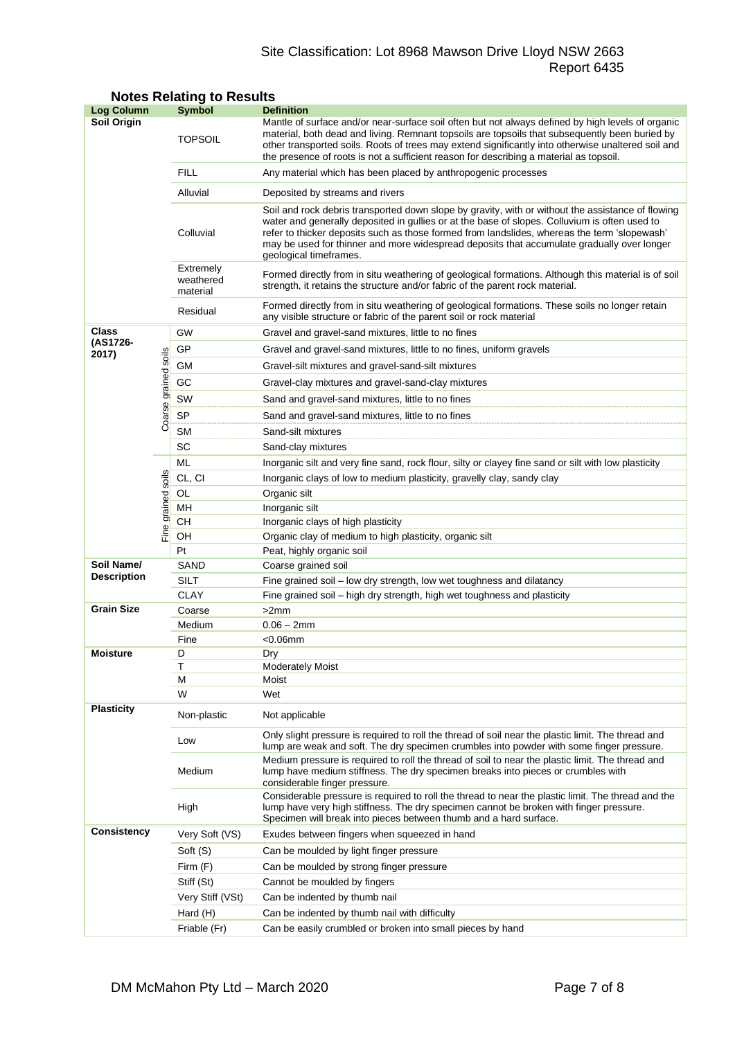# Site Classification: Lot 8968 Mawson Drive Lloyd NSW 2663 Report 6435

| <b>Log Column</b>                |                      | <b>Symbol</b>                                                                                                                                                                                                              | <b>Definition</b>                                                                                                                                                                                                                                                                                                                                                                                                          |  |  |  |
|----------------------------------|----------------------|----------------------------------------------------------------------------------------------------------------------------------------------------------------------------------------------------------------------------|----------------------------------------------------------------------------------------------------------------------------------------------------------------------------------------------------------------------------------------------------------------------------------------------------------------------------------------------------------------------------------------------------------------------------|--|--|--|
| Soil Origin                      |                      | <b>TOPSOIL</b>                                                                                                                                                                                                             | Mantle of surface and/or near-surface soil often but not always defined by high levels of organic<br>material, both dead and living. Remnant topsoils are topsoils that subsequently been buried by<br>other transported soils. Roots of trees may extend significantly into otherwise unaltered soil and<br>the presence of roots is not a sufficient reason for describing a material as topsoil.                        |  |  |  |
|                                  |                      | <b>FILL</b>                                                                                                                                                                                                                | Any material which has been placed by anthropogenic processes                                                                                                                                                                                                                                                                                                                                                              |  |  |  |
|                                  |                      | Alluvial                                                                                                                                                                                                                   | Deposited by streams and rivers                                                                                                                                                                                                                                                                                                                                                                                            |  |  |  |
|                                  |                      | Colluvial                                                                                                                                                                                                                  | Soil and rock debris transported down slope by gravity, with or without the assistance of flowing<br>water and generally deposited in gullies or at the base of slopes. Colluvium is often used to<br>refer to thicker deposits such as those formed from landslides, whereas the term 'slopewash'<br>may be used for thinner and more widespread deposits that accumulate gradually over longer<br>geological timeframes. |  |  |  |
|                                  |                      | Extremely<br>Formed directly from in situ weathering of geological formations. Although this material is of soil<br>weathered<br>strength, it retains the structure and/or fabric of the parent rock material.<br>material |                                                                                                                                                                                                                                                                                                                                                                                                                            |  |  |  |
|                                  |                      | Residual                                                                                                                                                                                                                   | Formed directly from in situ weathering of geological formations. These soils no longer retain<br>any visible structure or fabric of the parent soil or rock material                                                                                                                                                                                                                                                      |  |  |  |
| Class                            |                      | GW                                                                                                                                                                                                                         | Gravel and gravel-sand mixtures, little to no fines                                                                                                                                                                                                                                                                                                                                                                        |  |  |  |
| (AS1726-<br>2017)                |                      | GP                                                                                                                                                                                                                         | Gravel and gravel-sand mixtures, little to no fines, uniform gravels                                                                                                                                                                                                                                                                                                                                                       |  |  |  |
|                                  |                      | GМ                                                                                                                                                                                                                         | Gravel-silt mixtures and gravel-sand-silt mixtures                                                                                                                                                                                                                                                                                                                                                                         |  |  |  |
|                                  |                      | GC<br>Gravel-clay mixtures and gravel-sand-clay mixtures                                                                                                                                                                   |                                                                                                                                                                                                                                                                                                                                                                                                                            |  |  |  |
|                                  |                      | SW                                                                                                                                                                                                                         | Sand and gravel-sand mixtures, little to no fines                                                                                                                                                                                                                                                                                                                                                                          |  |  |  |
|                                  | Coarse grained soils | <b>SP</b>                                                                                                                                                                                                                  | Sand and gravel-sand mixtures, little to no fines                                                                                                                                                                                                                                                                                                                                                                          |  |  |  |
|                                  |                      | SМ                                                                                                                                                                                                                         | Sand-silt mixtures                                                                                                                                                                                                                                                                                                                                                                                                         |  |  |  |
|                                  |                      | SC                                                                                                                                                                                                                         | Sand-clay mixtures                                                                                                                                                                                                                                                                                                                                                                                                         |  |  |  |
|                                  |                      | ML                                                                                                                                                                                                                         | Inorganic silt and very fine sand, rock flour, silty or clayey fine sand or silt with low plasticity                                                                                                                                                                                                                                                                                                                       |  |  |  |
|                                  |                      | CL, CI                                                                                                                                                                                                                     | Inorganic clays of low to medium plasticity, gravelly clay, sandy clay                                                                                                                                                                                                                                                                                                                                                     |  |  |  |
|                                  |                      | OL                                                                                                                                                                                                                         | Organic silt                                                                                                                                                                                                                                                                                                                                                                                                               |  |  |  |
|                                  |                      | MН                                                                                                                                                                                                                         | Inorganic silt                                                                                                                                                                                                                                                                                                                                                                                                             |  |  |  |
|                                  | Fine grained soils   | CН                                                                                                                                                                                                                         | Inorganic clays of high plasticity                                                                                                                                                                                                                                                                                                                                                                                         |  |  |  |
|                                  |                      | OH                                                                                                                                                                                                                         | Organic clay of medium to high plasticity, organic silt                                                                                                                                                                                                                                                                                                                                                                    |  |  |  |
|                                  |                      | Pt                                                                                                                                                                                                                         | Peat, highly organic soil                                                                                                                                                                                                                                                                                                                                                                                                  |  |  |  |
| Soil Name/<br><b>Description</b> |                      | SAND                                                                                                                                                                                                                       | Coarse grained soil                                                                                                                                                                                                                                                                                                                                                                                                        |  |  |  |
|                                  |                      | <b>SILT</b>                                                                                                                                                                                                                | Fine grained soil - low dry strength, low wet toughness and dilatancy                                                                                                                                                                                                                                                                                                                                                      |  |  |  |
| <b>Grain Size</b>                |                      | <b>CLAY</b>                                                                                                                                                                                                                | Fine grained soil - high dry strength, high wet toughness and plasticity                                                                                                                                                                                                                                                                                                                                                   |  |  |  |
|                                  |                      | Coarse<br>Medium                                                                                                                                                                                                           | >2mm<br>$0.06 - 2mm$                                                                                                                                                                                                                                                                                                                                                                                                       |  |  |  |
|                                  |                      | Fine                                                                                                                                                                                                                       | $< 0.06$ mm                                                                                                                                                                                                                                                                                                                                                                                                                |  |  |  |
| <b>Moisture</b>                  |                      | D                                                                                                                                                                                                                          | Dry                                                                                                                                                                                                                                                                                                                                                                                                                        |  |  |  |
|                                  |                      | т                                                                                                                                                                                                                          | <b>Moderately Moist</b>                                                                                                                                                                                                                                                                                                                                                                                                    |  |  |  |
|                                  |                      | М                                                                                                                                                                                                                          | Moist                                                                                                                                                                                                                                                                                                                                                                                                                      |  |  |  |
|                                  |                      | W                                                                                                                                                                                                                          | Wet                                                                                                                                                                                                                                                                                                                                                                                                                        |  |  |  |
| <b>Plasticity</b>                |                      | Non-plastic                                                                                                                                                                                                                | Not applicable                                                                                                                                                                                                                                                                                                                                                                                                             |  |  |  |
|                                  |                      | Low                                                                                                                                                                                                                        | Only slight pressure is required to roll the thread of soil near the plastic limit. The thread and<br>lump are weak and soft. The dry specimen crumbles into powder with some finger pressure.                                                                                                                                                                                                                             |  |  |  |
|                                  |                      | Medium                                                                                                                                                                                                                     | Medium pressure is required to roll the thread of soil to near the plastic limit. The thread and<br>lump have medium stiffness. The dry specimen breaks into pieces or crumbles with<br>considerable finger pressure.                                                                                                                                                                                                      |  |  |  |
|                                  |                      | High                                                                                                                                                                                                                       | Considerable pressure is required to roll the thread to near the plastic limit. The thread and the<br>lump have very high stiffness. The dry specimen cannot be broken with finger pressure.<br>Specimen will break into pieces between thumb and a hard surface.                                                                                                                                                          |  |  |  |
| Consistency                      |                      | Very Soft (VS)                                                                                                                                                                                                             | Exudes between fingers when squeezed in hand                                                                                                                                                                                                                                                                                                                                                                               |  |  |  |
|                                  |                      | Soft (S)                                                                                                                                                                                                                   | Can be moulded by light finger pressure                                                                                                                                                                                                                                                                                                                                                                                    |  |  |  |
|                                  |                      | Firm $(F)$                                                                                                                                                                                                                 | Can be moulded by strong finger pressure                                                                                                                                                                                                                                                                                                                                                                                   |  |  |  |
|                                  |                      | Stiff (St)                                                                                                                                                                                                                 | Cannot be moulded by fingers                                                                                                                                                                                                                                                                                                                                                                                               |  |  |  |
|                                  |                      | Very Stiff (VSt)                                                                                                                                                                                                           | Can be indented by thumb nail                                                                                                                                                                                                                                                                                                                                                                                              |  |  |  |
|                                  |                      | Hard (H)                                                                                                                                                                                                                   | Can be indented by thumb nail with difficulty                                                                                                                                                                                                                                                                                                                                                                              |  |  |  |
|                                  |                      | Friable (Fr)                                                                                                                                                                                                               | Can be easily crumbled or broken into small pieces by hand                                                                                                                                                                                                                                                                                                                                                                 |  |  |  |

# **Notes Relating to Results**